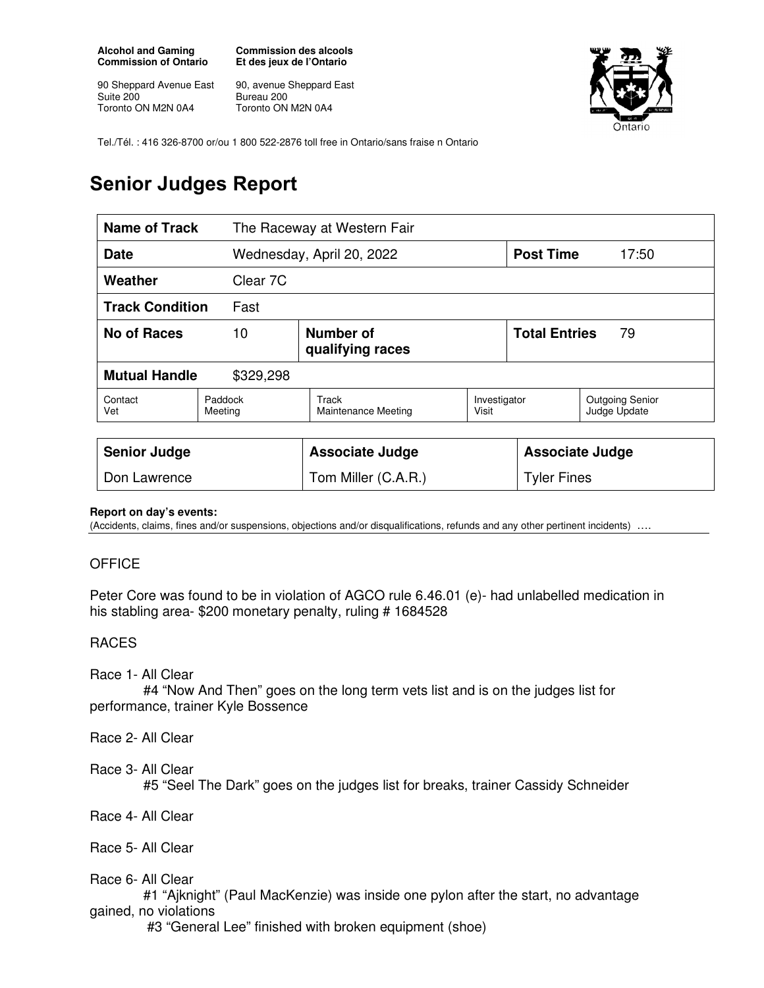**Alcohol and Gaming Commission of Ontario** 

90 Sheppard Avenue East Suite 200 Toronto ON M2N 0A4

**Commission des alcools Et des jeux de l'Ontario** 

90, avenue Sheppard East Bureau 200 Toronto ON M2N 0A4



Tel./Tél. : 416 326-8700 or/ou 1 800 522-2876 toll free in Ontario/sans fraise n Ontario

## **Senior Judges Report**

| <b>Name of Track</b>              |                                     | The Raceway at Western Fair         |                       |                            |                                        |
|-----------------------------------|-------------------------------------|-------------------------------------|-----------------------|----------------------------|----------------------------------------|
| <b>Date</b>                       |                                     | Wednesday, April 20, 2022           |                       | <b>Post Time</b>           | 17:50                                  |
| Weather                           | Clear 7C                            |                                     |                       |                            |                                        |
| <b>Track Condition</b><br>Fast    |                                     |                                     |                       |                            |                                        |
| <b>No of Races</b>                | Number of<br>10<br>qualifying races |                                     |                       | <b>Total Entries</b><br>79 |                                        |
| <b>Mutual Handle</b><br>\$329,298 |                                     |                                     |                       |                            |                                        |
| Contact<br>Vet                    | Paddock<br>Meeting                  | Track<br><b>Maintenance Meeting</b> | Investigator<br>Visit |                            | <b>Outgoing Senior</b><br>Judge Update |
|                                   |                                     |                                     |                       |                            |                                        |
| <b>Senior Judge</b>               |                                     | <b>Associate Judge</b>              |                       | <b>Associate Judge</b>     |                                        |
| Don Lawrence                      |                                     | Tom Miller (C.A.R.)                 |                       | <b>Tyler Fines</b>         |                                        |

## **Report on day's events:**

(Accidents, claims, fines and/or suspensions, objections and/or disqualifications, refunds and any other pertinent incidents) ….

## **OFFICE**

Peter Core was found to be in violation of AGCO rule 6.46.01 (e)- had unlabelled medication in his stabling area- \$200 monetary penalty, ruling # 1684528

## RACES

Race 1- All Clear

 #4 "Now And Then" goes on the long term vets list and is on the judges list for performance, trainer Kyle Bossence

Race 2- All Clear

Race 3- All Clear

#5 "Seel The Dark" goes on the judges list for breaks, trainer Cassidy Schneider

Race 4- All Clear

Race 5- All Clear

Race 6- All Clear

 #1 "Ajknight" (Paul MacKenzie) was inside one pylon after the start, no advantage gained, no violations

#3 "General Lee" finished with broken equipment (shoe)